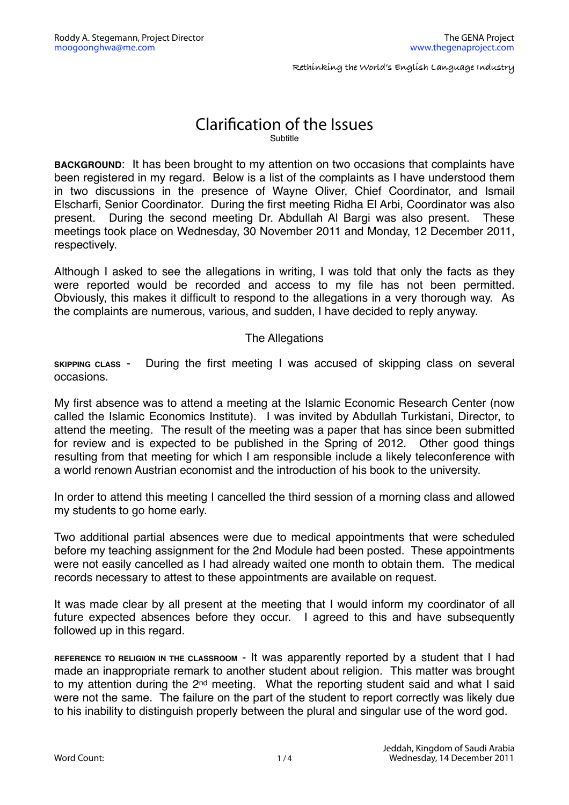**Rethinking the World's English Language Industry**

## Clarification of the Issues Subtitle

**BACKGROUND**: It has been brought to my attention on two occasions that complaints have been registered in my regard. Below is a list of the complaints as I have understood them in two discussions in the presence of Wayne Oliver, Chief Coordinator, and Ismail Elscharfi, Senior Coordinator. During the first meeting Ridha El Arbi, Coordinator was also present. During the second meeting Dr. Abdullah Al Bargi was also present. These meetings took place on Wednesday, 30 November 2011 and Monday, 12 December 2011, respectively.

Although I asked to see the allegations in writing, I was told that only the facts as they were reported would be recorded and access to my file has not been permitted. Obviously, this makes it difficult to respond to the allegations in a very thorough way. As the complaints are numerous, various, and sudden, I have decided to reply anyway.

## The Allegations

**SKIPPING CLASS** - During the first meeting I was accused of skipping class on several occasions.

My first absence was to attend a meeting at the Islamic Economic Research Center (now called the Islamic Economics Institute). I was invited by Abdullah Turkistani, Director, to attend the meeting. The result of the meeting was a paper that has since been submitted for review and is expected to be published in the Spring of 2012. Other good things resulting from that meeting for which I am responsible include a likely teleconference with a world renown Austrian economist and the introduction of his book to the university.

In order to attend this meeting I cancelled the third session of a morning class and allowed my students to go home early.

Two additional partial absences were due to medical appointments that were scheduled before my teaching assignment for the 2nd Module had been posted. These appointments were not easily cancelled as I had already waited one month to obtain them. The medical records necessary to attest to these appointments are available on request.

It was made clear by all present at the meeting that I would inform my coordinator of all future expected absences before they occur. I agreed to this and have subsequently followed up in this regard.

**REFERENCE TO RELIGION IN THE CLASSROOM** - It was apparently reported by a student that I had made an inappropriate remark to another student about religion. This matter was brought to my attention during the 2<sup>nd</sup> meeting. What the reporting student said and what I said were not the same. The failure on the part of the student to report correctly was likely due to his inability to distinguish properly between the plural and singular use of the word god.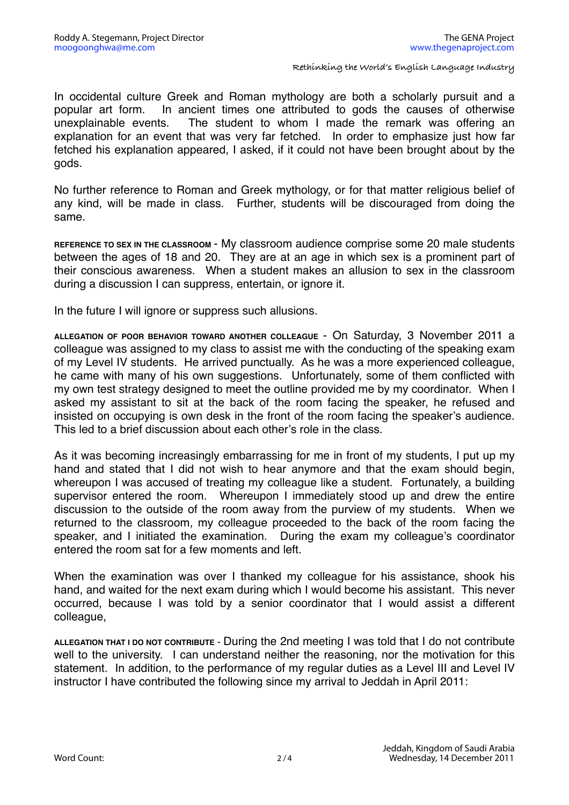**Rethinking the World's English Language Industry**

In occidental culture Greek and Roman mythology are both a scholarly pursuit and a popular art form. In ancient times one attributed to gods the causes of otherwise unexplainable events. The student to whom I made the remark was offering an explanation for an event that was very far fetched. In order to emphasize just how far fetched his explanation appeared, I asked, if it could not have been brought about by the gods.

No further reference to Roman and Greek mythology, or for that matter religious belief of any kind, will be made in class. Further, students will be discouraged from doing the same.

**REFERENCE TO SEX IN THE CLASSROOM** - My classroom audience comprise some 20 male students between the ages of 18 and 20. They are at an age in which sex is a prominent part of their conscious awareness. When a student makes an allusion to sex in the classroom during a discussion I can suppress, entertain, or ignore it.

In the future I will ignore or suppress such allusions.

**ALLEGATION OF POOR BEHAVIOR TOWARD ANOTHER COLLEAGUE** - On Saturday, 3 November 2011 a colleague was assigned to my class to assist me with the conducting of the speaking exam of my Level IV students. He arrived punctually. As he was a more experienced colleague, he came with many of his own suggestions. Unfortunately, some of them conflicted with my own test strategy designed to meet the outline provided me by my coordinator. When I asked my assistant to sit at the back of the room facing the speaker, he refused and insisted on occupying is own desk in the front of the room facing the speaker's audience. This led to a brief discussion about each other's role in the class.

As it was becoming increasingly embarrassing for me in front of my students, I put up my hand and stated that I did not wish to hear anymore and that the exam should begin, whereupon I was accused of treating my colleague like a student. Fortunately, a building supervisor entered the room. Whereupon I immediately stood up and drew the entire discussion to the outside of the room away from the purview of my students. When we returned to the classroom, my colleague proceeded to the back of the room facing the speaker, and I initiated the examination. During the exam my colleague's coordinator entered the room sat for a few moments and left.

When the examination was over I thanked my colleague for his assistance, shook his hand, and waited for the next exam during which I would become his assistant. This never occurred, because I was told by a senior coordinator that I would assist a different colleague,

**ALLEGATION THAT I DO NOT CONTRIBUTE** - During the 2nd meeting I was told that I do not contribute well to the university. I can understand neither the reasoning, nor the motivation for this statement. In addition, to the performance of my regular duties as a Level III and Level IV instructor I have contributed the following since my arrival to Jeddah in April 2011: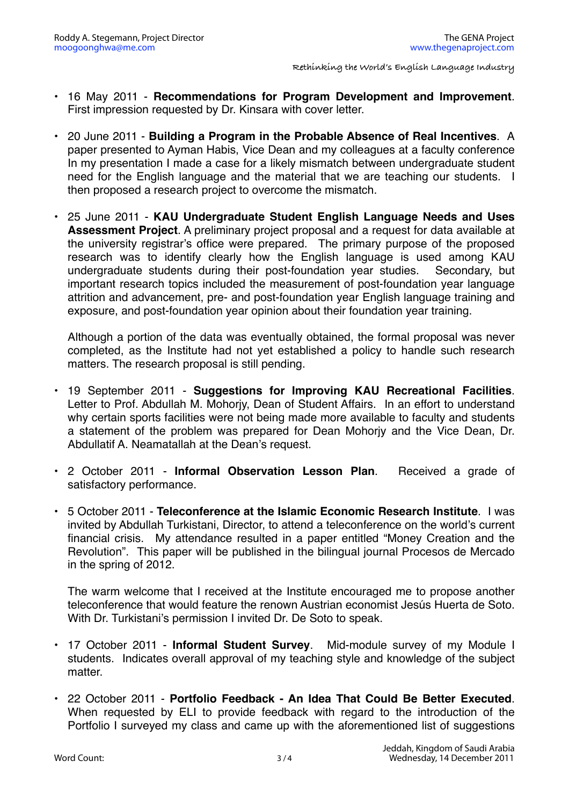- 16 May 2011 **Recommendations for Program Development and Improvement**. First impression requested by Dr. Kinsara with cover letter.
- 20 June 2011 **Building a Program in the Probable Absence of Real Incentives**. A paper presented to Ayman Habis, Vice Dean and my colleagues at a faculty conference In my presentation I made a case for a likely mismatch between undergraduate student need for the English language and the material that we are teaching our students. I then proposed a research project to overcome the mismatch.
- 25 June 2011 **KAU Undergraduate Student English Language Needs and Uses Assessment Project**. A preliminary project proposal and a request for data available at the university registrar's office were prepared. The primary purpose of the proposed research was to identify clearly how the English language is used among KAU undergraduate students during their post-foundation year studies. Secondary, but important research topics included the measurement of post-foundation year language attrition and advancement, pre- and post-foundation year English language training and exposure, and post-foundation year opinion about their foundation year training.

Although a portion of the data was eventually obtained, the formal proposal was never completed, as the Institute had not yet established a policy to handle such research matters. The research proposal is still pending.

- 19 September 2011 **Suggestions for Improving KAU Recreational Facilities**. Letter to Prof. Abdullah M. Mohorjy, Dean of Student Affairs. In an effort to understand why certain sports facilities were not being made more available to faculty and students a statement of the problem was prepared for Dean Mohorjy and the Vice Dean, Dr. Abdullatif A. Neamatallah at the Dean's request.
- 2 October 2011 **Informal Observation Lesson Plan**. Received a grade of satisfactory performance.
- 5 October 2011 **Teleconference at the Islamic Economic Research Institute**. I was invited by Abdullah Turkistani, Director, to attend a teleconference on the world's current financial crisis. My attendance resulted in a paper entitled "Money Creation and the Revolution". This paper will be published in the bilingual journal Procesos de Mercado in the spring of 2012.

The warm welcome that I received at the Institute encouraged me to propose another teleconference that would feature the renown Austrian economist Jesús Huerta de Soto. With Dr. Turkistani's permission I invited Dr. De Soto to speak.

- 17 October 2011 **Informal Student Survey**. Mid-module survey of my Module I students. Indicates overall approval of my teaching style and knowledge of the subject matter.
- 22 October 2011 **Portfolio Feedback An Idea That Could Be Better Executed**. When requested by ELI to provide feedback with regard to the introduction of the Portfolio I surveyed my class and came up with the aforementioned list of suggestions